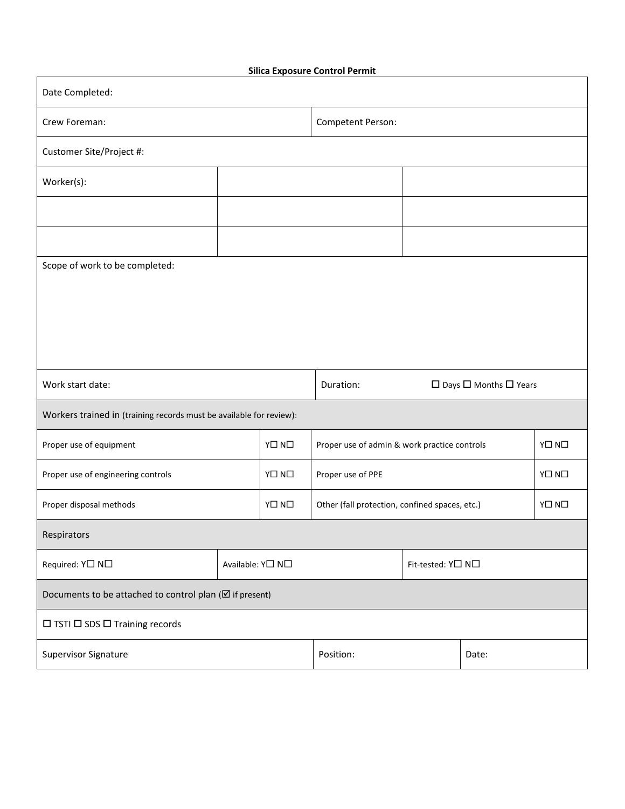|  | <b>Silica Exposure Control Permit</b> |  |  |
|--|---------------------------------------|--|--|
|--|---------------------------------------|--|--|

| Date Completed:                                                                  |                  |                       |                                                |                   |  |                       |  |
|----------------------------------------------------------------------------------|------------------|-----------------------|------------------------------------------------|-------------------|--|-----------------------|--|
| Crew Foreman:                                                                    |                  |                       | Competent Person:                              |                   |  |                       |  |
| Customer Site/Project #:                                                         |                  |                       |                                                |                   |  |                       |  |
| Worker(s):                                                                       |                  |                       |                                                |                   |  |                       |  |
|                                                                                  |                  |                       |                                                |                   |  |                       |  |
|                                                                                  |                  |                       |                                                |                   |  |                       |  |
| Scope of work to be completed:                                                   |                  |                       |                                                |                   |  |                       |  |
|                                                                                  |                  |                       |                                                |                   |  |                       |  |
|                                                                                  |                  |                       |                                                |                   |  |                       |  |
|                                                                                  |                  |                       |                                                |                   |  |                       |  |
| Duration:<br>$\square$ Days $\square$ Months $\square$ Years<br>Work start date: |                  |                       |                                                |                   |  |                       |  |
|                                                                                  |                  |                       |                                                |                   |  |                       |  |
| Workers trained in (training records must be available for review):              |                  |                       |                                                |                   |  |                       |  |
| Proper use of equipment                                                          |                  | $Y \square N \square$ | Proper use of admin & work practice controls   |                   |  | $Y\square N\square$   |  |
| Proper use of engineering controls                                               |                  | $Y \Box N \Box$       | Proper use of PPE                              |                   |  | $Y \square N \square$ |  |
| Proper disposal methods                                                          |                  | $Y \Box N \Box$       | Other (fall protection, confined spaces, etc.) |                   |  | $Y \square N \square$ |  |
| Respirators                                                                      |                  |                       |                                                |                   |  |                       |  |
| Required: Y□ N□                                                                  | Available: Y□ N□ |                       |                                                | Fit-tested: Y□ N□ |  |                       |  |
| Documents to be attached to control plan ( $\boxtimes$ if present)               |                  |                       |                                                |                   |  |                       |  |
| $\Box$ TSTI $\Box$ SDS $\Box$ Training records                                   |                  |                       |                                                |                   |  |                       |  |